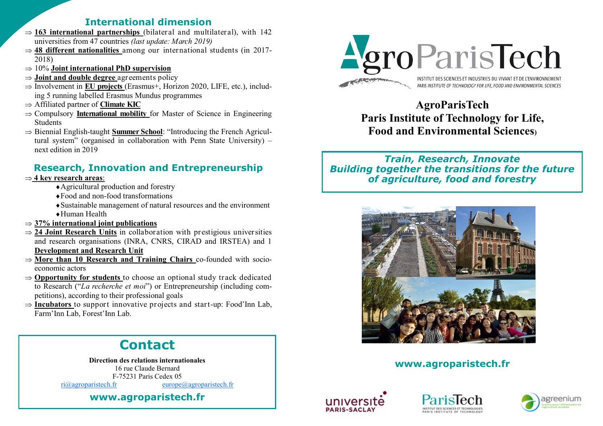# **International dimension**

- $\Rightarrow$  **163 international partnerships** (bilateral and multilateral), with 142 universities from 47 countries *(last update: March 2019)*
- $\Rightarrow$  48 different nationalities among our international students (in 2017-2018)
- 10% **Joint international PhD supervision**
- $\Rightarrow$  **Joint and double degree** agreements policy
- $\Rightarrow$  Involvement in **EU projects** (Erasmus+, Horizon 2020, LIFE, etc.), including 5 running labelled Erasmus Mundus programmes
- Affiliated partner of **[Climate KIC](http://www.climate-kic.org/)**
- $\Rightarrow$  Compulsory **International mobility** for Master of Science in Engineering Students
- $\Rightarrow$  Biennial English-taught **Summer School**: "Introducing the French Agricultural system" (organised in collaboration with Penn State University) – next edition in 2019

# **Research, Innovation and Entrepreneurship**

# **4 key research areas**:

- ◆ Agricultural production and forestry
- Food and non-food transformations
- Sustainable management of natural resources and the environment Human Health
- **37% international joint publications**
- $\Rightarrow$  **[24 Joint Research Units](http://www.agroparistech.fr/Joint-Research-Units-4018.html)** in collaboration with prestigious universities and research organisations (INRA, CNRS, CIRAD and IRSTEA) and 1 **Development and Research Unit**
- **More than 10 Research and Training Chairs** co-founded with socioeconomic actors
- **Opportunity for students** to choose an optional study track dedicated to Research ("*La recherche et moi*") or Entrepreneurship (including competitions), according to their professional goals
- $\Rightarrow$  **Incubators** to support innovative projects and start-up: Food'Inn Lab, Farm'Inn Lab, Forest'Inn Lab.





**AgroParisTech Paris Institute of Technology for Life, Food and Environmental Sciences)**

*Train, Research, Innovate Building together the transitions for the future of agriculture, food and forestry*



# **www.agroparistech.fr**